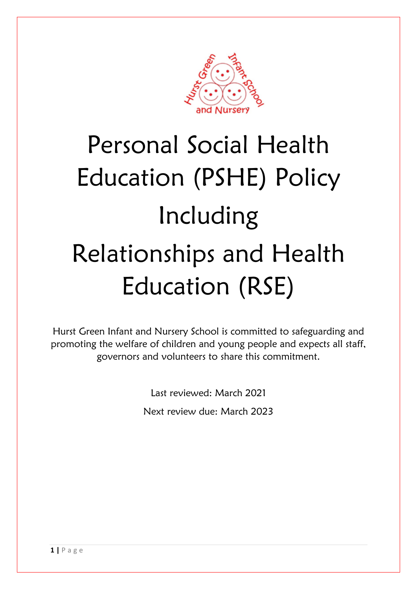

# Personal Social Health Education (PSHE) Policy Including Relationships and Health Education (RSE)

Hurst Green Infant and Nursery School is committed to safeguarding and promoting the welfare of children and young people and expects all staff, governors and volunteers to share this commitment.

> Last reviewed: March 2021 Next review due: March 2023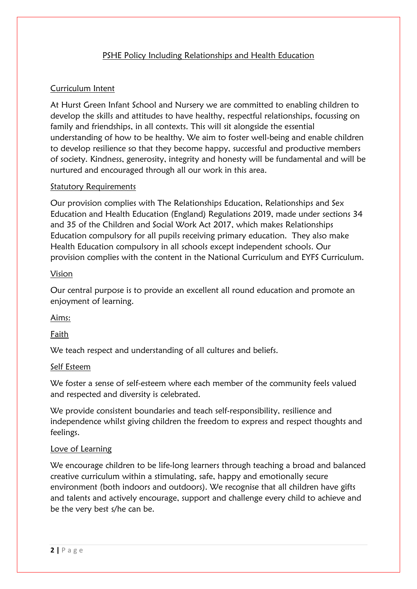### PSHE Policy Including Relationships and Health Education

## Curriculum Intent

At Hurst Green Infant School and Nursery we are committed to enabling children to develop the skills and attitudes to have healthy, respectful relationships, focussing on family and friendships, in all contexts. This will sit alongside the essential understanding of how to be healthy. We aim to foster well-being and enable children to develop resilience so that they become happy, successful and productive members of society. Kindness, generosity, integrity and honesty will be fundamental and will be nurtured and encouraged through all our work in this area.

#### Statutory Requirements

Our provision complies with The Relationships Education, Relationships and Sex Education and Health Education (England) Regulations 2019, made under sections 34 and 35 of the Children and Social Work Act 2017, which makes Relationships Education compulsory for all pupils receiving primary education. They also make Health Education compulsory in all schools except independent schools. Our provision complies with the content in the National Curriculum and EYFS Curriculum.

#### Vision

Our central purpose is to provide an excellent all round education and promote an enjoyment of learning.

#### Aims:

Faith

We teach respect and understanding of all cultures and beliefs.

#### Self Esteem

We foster a sense of self-esteem where each member of the community feels valued and respected and diversity is celebrated.

We provide consistent boundaries and teach self-responsibility, resilience and independence whilst giving children the freedom to express and respect thoughts and feelings.

#### Love of Learning

We encourage children to be life-long learners through teaching a broad and balanced creative curriculum within a stimulating, safe, happy and emotionally secure environment (both indoors and outdoors). We recognise that all children have gifts and talents and actively encourage, support and challenge every child to achieve and be the very best s/he can be.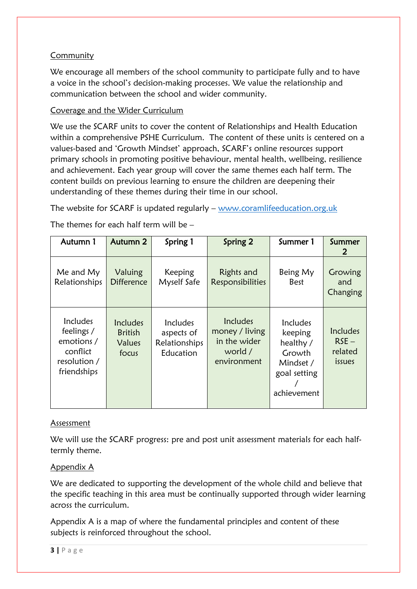## **Community**

We encourage all members of the school community to participate fully and to have a voice in the school's decision-making processes. We value the relationship and communication between the school and wider community.

## Coverage and the Wider Curriculum

We use the SCARF units to cover the content of Relationships and Health Education within a comprehensive PSHE Curriculum. The content of these units is centered on a values-based and 'Growth Mindset' approach, SCARF's online resources support primary schools in promoting positive behaviour, mental health, wellbeing, resilience and achievement. Each year group will cover the same themes each half term. The content builds on previous learning to ensure the children are deepening their understanding of these themes during their time in our school.

The website for SCARF is updated regularly – [www.coramlifeeducation.org.uk](http://www.coramlifeeducation.org.uk/)

The themes for each half term will be –

| Autumn 1                                                                               | Autumn 2                                      | Spring 1                                             | Spring 2                                                             | Summer 1                                                                               | Summer<br>2                              |
|----------------------------------------------------------------------------------------|-----------------------------------------------|------------------------------------------------------|----------------------------------------------------------------------|----------------------------------------------------------------------------------------|------------------------------------------|
| Me and My<br>Relationships                                                             | Valuing<br><b>Difference</b>                  | Keeping<br>Myself Safe                               | Rights and<br><b>Responsibilities</b>                                | Being My<br><b>Best</b>                                                                | Growing<br>and<br>Changing               |
| <b>Includes</b><br>feelings /<br>emotions /<br>conflict<br>resolution /<br>friendships | Includes<br><b>British</b><br>Values<br>focus | Includes<br>aspects of<br>Relationships<br>Education | Includes<br>money / living<br>in the wider<br>world /<br>environment | Includes<br>keeping<br>healthy /<br>Growth<br>Mindset /<br>goal setting<br>achievement | Includes<br>$RSE -$<br>related<br>issues |

## Assessment

We will use the SCARF progress: pre and post unit assessment materials for each halftermly theme.

## Appendix A

We are dedicated to supporting the development of the whole child and believe that the specific teaching in this area must be continually supported through wider learning across the curriculum.

Appendix A is a map of where the fundamental principles and content of these subjects is reinforced throughout the school.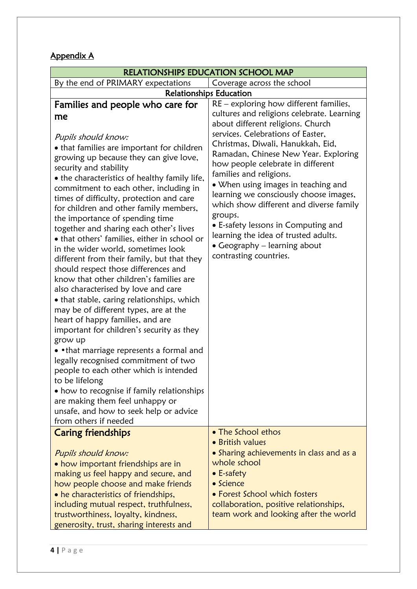## Appendix A

|                                                                                                                                                                                                                                                                                                                                                                                                                                                                                                                                                                                                                                                                                                                                                                                                                                                                                                                                                                                                                                                                                                                                                                                                      | RELATIONSHIPS EDUCATION SCHOOL MAP                                                                                                                                                                                                                                                                                                                                                                                                                                                                                                                                                            |
|------------------------------------------------------------------------------------------------------------------------------------------------------------------------------------------------------------------------------------------------------------------------------------------------------------------------------------------------------------------------------------------------------------------------------------------------------------------------------------------------------------------------------------------------------------------------------------------------------------------------------------------------------------------------------------------------------------------------------------------------------------------------------------------------------------------------------------------------------------------------------------------------------------------------------------------------------------------------------------------------------------------------------------------------------------------------------------------------------------------------------------------------------------------------------------------------------|-----------------------------------------------------------------------------------------------------------------------------------------------------------------------------------------------------------------------------------------------------------------------------------------------------------------------------------------------------------------------------------------------------------------------------------------------------------------------------------------------------------------------------------------------------------------------------------------------|
| By the end of PRIMARY expectations                                                                                                                                                                                                                                                                                                                                                                                                                                                                                                                                                                                                                                                                                                                                                                                                                                                                                                                                                                                                                                                                                                                                                                   | Coverage across the school                                                                                                                                                                                                                                                                                                                                                                                                                                                                                                                                                                    |
| <b>Relationships Education</b>                                                                                                                                                                                                                                                                                                                                                                                                                                                                                                                                                                                                                                                                                                                                                                                                                                                                                                                                                                                                                                                                                                                                                                       |                                                                                                                                                                                                                                                                                                                                                                                                                                                                                                                                                                                               |
| Families and people who care for<br>me<br>Pupils should know:<br>• that families are important for children<br>growing up because they can give love,<br>security and stability<br>• the characteristics of healthy family life,<br>commitment to each other, including in<br>times of difficulty, protection and care<br>for children and other family members,<br>the importance of spending time<br>together and sharing each other's lives<br>• that others' families, either in school or<br>in the wider world, sometimes look<br>different from their family, but that they<br>should respect those differences and<br>know that other children's families are<br>also characterised by love and care<br>• that stable, caring relationships, which<br>may be of different types, are at the<br>heart of happy families, and are<br>important for children's security as they<br>grow up<br>• • that marriage represents a formal and<br>legally recognised commitment of two<br>people to each other which is intended<br>to be lifelong<br>• how to recognise if family relationships<br>are making them feel unhappy or<br>unsafe, and how to seek help or advice<br>from others if needed | $RE$ – exploring how different families,<br>cultures and religions celebrate. Learning<br>about different religions. Church<br>services. Celebrations of Easter,<br>Christmas, Diwali, Hanukkah, Eid,<br>Ramadan, Chinese New Year. Exploring<br>how people celebrate in different<br>families and religions.<br>• When using images in teaching and<br>learning we consciously choose images,<br>which show different and diverse family<br>groups.<br>• E-safety lessons in Computing and<br>learning the idea of trusted adults.<br>• Geography – learning about<br>contrasting countries. |
| <b>Caring friendships</b>                                                                                                                                                                                                                                                                                                                                                                                                                                                                                                                                                                                                                                                                                                                                                                                                                                                                                                                                                                                                                                                                                                                                                                            | • The School ethos                                                                                                                                                                                                                                                                                                                                                                                                                                                                                                                                                                            |
| Pupils should know:<br>• how important friendships are in<br>making us feel happy and secure, and<br>how people choose and make friends<br>• he characteristics of friendships,<br>including mutual respect, truthfulness,<br>trustworthiness, loyalty, kindness,                                                                                                                                                                                                                                                                                                                                                                                                                                                                                                                                                                                                                                                                                                                                                                                                                                                                                                                                    | • British values<br>• Sharing achievements in class and as a<br>whole school<br>$\bullet$ E-safety<br>$\bullet$ Science<br>• Forest School which fosters<br>collaboration, positive relationships,<br>team work and looking after the world                                                                                                                                                                                                                                                                                                                                                   |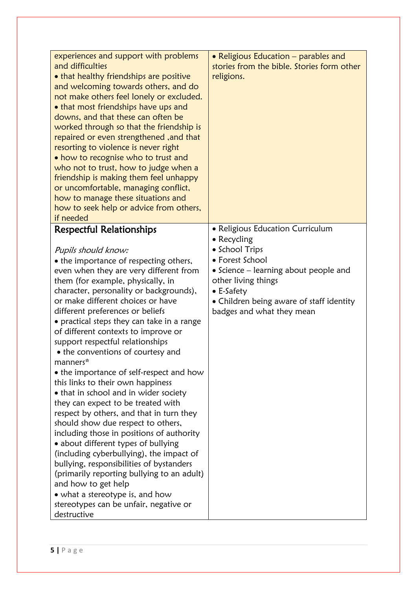| experiences and support with problems<br>and difficulties<br>. that healthy friendships are positive<br>and welcoming towards others, and do<br>not make others feel lonely or excluded.<br>• that most friendships have ups and<br>downs, and that these can often be<br>worked through so that the friendship is<br>repaired or even strengthened, and that<br>resorting to violence is never right<br>• how to recognise who to trust and<br>who not to trust, how to judge when a<br>friendship is making them feel unhappy<br>or uncomfortable, managing conflict,<br>how to manage these situations and<br>how to seek help or advice from others,<br>if needed                                                                                                                                                                                                                                                                                                                                                                                                        | • Religious Education – parables and<br>stories from the bible. Stories form other<br>religions.                                                                                                                                                    |
|------------------------------------------------------------------------------------------------------------------------------------------------------------------------------------------------------------------------------------------------------------------------------------------------------------------------------------------------------------------------------------------------------------------------------------------------------------------------------------------------------------------------------------------------------------------------------------------------------------------------------------------------------------------------------------------------------------------------------------------------------------------------------------------------------------------------------------------------------------------------------------------------------------------------------------------------------------------------------------------------------------------------------------------------------------------------------|-----------------------------------------------------------------------------------------------------------------------------------------------------------------------------------------------------------------------------------------------------|
| <b>Respectful Relationships</b><br>Pupils should know:<br>• the importance of respecting others,<br>even when they are very different from<br>them (for example, physically, in<br>character, personality or backgrounds),<br>or make different choices or have<br>different preferences or beliefs<br>• practical steps they can take in a range<br>of different contexts to improve or<br>support respectful relationships<br>• the conventions of courtesy and<br>manners*<br>• the importance of self-respect and how<br>this links to their own happiness<br>• that in school and in wider society<br>they can expect to be treated with<br>respect by others, and that in turn they<br>should show due respect to others,<br>including those in positions of authority<br>• about different types of bullying<br>(including cyberbullying), the impact of<br>bullying, responsibilities of bystanders<br>(primarily reporting bullying to an adult)<br>and how to get help<br>• what a stereotype is, and how<br>stereotypes can be unfair, negative or<br>destructive | • Religious Education Curriculum<br>• Recycling<br>• School Trips<br>• Forest School<br>• Science – learning about people and<br>other living things<br>$\bullet$ E-Safety<br>• Children being aware of staff identity<br>badges and what they mean |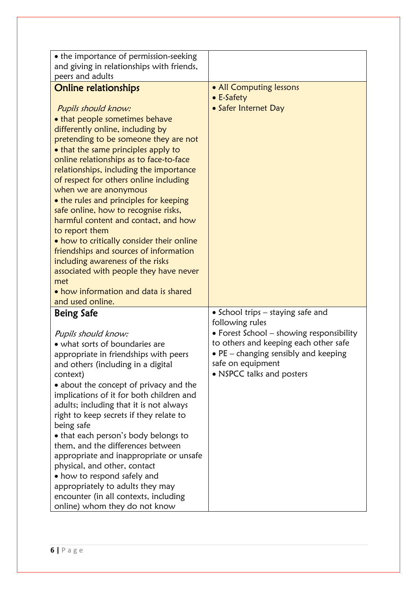| • the importance of permission-seeking                                                                                                                                                                                                                                                                                                                                                                                                                                                                                                                                                                                                                                                                                            |                                                                                                                                                                                                                                     |
|-----------------------------------------------------------------------------------------------------------------------------------------------------------------------------------------------------------------------------------------------------------------------------------------------------------------------------------------------------------------------------------------------------------------------------------------------------------------------------------------------------------------------------------------------------------------------------------------------------------------------------------------------------------------------------------------------------------------------------------|-------------------------------------------------------------------------------------------------------------------------------------------------------------------------------------------------------------------------------------|
| and giving in relationships with friends,                                                                                                                                                                                                                                                                                                                                                                                                                                                                                                                                                                                                                                                                                         |                                                                                                                                                                                                                                     |
| peers and adults                                                                                                                                                                                                                                                                                                                                                                                                                                                                                                                                                                                                                                                                                                                  |                                                                                                                                                                                                                                     |
| <b>Online relationships</b><br>Pupils should know:<br>• that people sometimes behave<br>differently online, including by<br>pretending to be someone they are not<br>• that the same principles apply to<br>online relationships as to face-to-face<br>relationships, including the importance<br>of respect for others online including<br>when we are anonymous<br>• the rules and principles for keeping<br>safe online, how to recognise risks,<br>harmful content and contact, and how<br>to report them<br>. how to critically consider their online<br>friendships and sources of information<br>including awareness of the risks<br>associated with people they have never<br>met<br>• how information and data is shared | • All Computing lessons<br>$\bullet$ E-Safety<br>• Safer Internet Day                                                                                                                                                               |
| and used online.                                                                                                                                                                                                                                                                                                                                                                                                                                                                                                                                                                                                                                                                                                                  |                                                                                                                                                                                                                                     |
| <b>Being Safe</b><br>Pupils should know:<br>• what sorts of boundaries are<br>appropriate in friendships with peers<br>and others (including in a digital<br>context)<br>• about the concept of privacy and the<br>implications of it for both children and<br>adults; including that it is not always<br>right to keep secrets if they relate to<br>being safe<br>• that each person's body belongs to<br>them, and the differences between<br>appropriate and inappropriate or unsafe<br>physical, and other, contact<br>• how to respond safely and<br>appropriately to adults they may<br>encounter (in all contexts, including<br>online) whom they do not know                                                              | • School trips – staying safe and<br>following rules<br>• Forest School - showing responsibility<br>to others and keeping each other safe<br>• PE - changing sensibly and keeping<br>safe on equipment<br>• NSPCC talks and posters |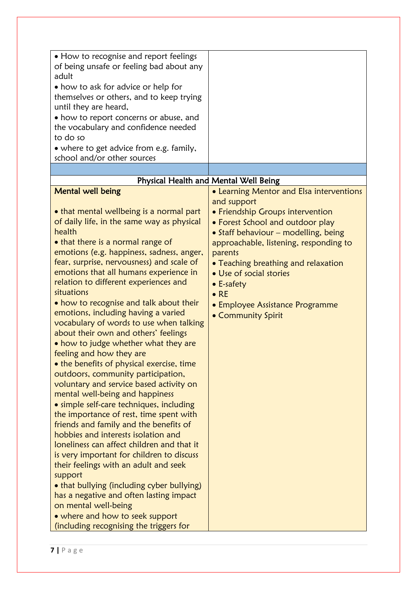| • How to recognise and report feelings<br>of being unsafe or feeling bad about any<br>adult<br>• how to ask for advice or help for<br>themselves or others, and to keep trying<br>until they are heard,<br>• how to report concerns or abuse, and<br>the vocabulary and confidence needed<br>to do so                                                                                                                                                                                                                                                                                                                                                                                                                                                                                                                                                                                                                                                                                                                                                                                                                                                                                                                                                                                        |                                                                                                                                                                                                                                                                                                                                                                                               |
|----------------------------------------------------------------------------------------------------------------------------------------------------------------------------------------------------------------------------------------------------------------------------------------------------------------------------------------------------------------------------------------------------------------------------------------------------------------------------------------------------------------------------------------------------------------------------------------------------------------------------------------------------------------------------------------------------------------------------------------------------------------------------------------------------------------------------------------------------------------------------------------------------------------------------------------------------------------------------------------------------------------------------------------------------------------------------------------------------------------------------------------------------------------------------------------------------------------------------------------------------------------------------------------------|-----------------------------------------------------------------------------------------------------------------------------------------------------------------------------------------------------------------------------------------------------------------------------------------------------------------------------------------------------------------------------------------------|
| • where to get advice from e.g. family,<br>school and/or other sources                                                                                                                                                                                                                                                                                                                                                                                                                                                                                                                                                                                                                                                                                                                                                                                                                                                                                                                                                                                                                                                                                                                                                                                                                       |                                                                                                                                                                                                                                                                                                                                                                                               |
|                                                                                                                                                                                                                                                                                                                                                                                                                                                                                                                                                                                                                                                                                                                                                                                                                                                                                                                                                                                                                                                                                                                                                                                                                                                                                              |                                                                                                                                                                                                                                                                                                                                                                                               |
|                                                                                                                                                                                                                                                                                                                                                                                                                                                                                                                                                                                                                                                                                                                                                                                                                                                                                                                                                                                                                                                                                                                                                                                                                                                                                              | Physical Health and Mental Well Being                                                                                                                                                                                                                                                                                                                                                         |
| <b>Mental well being</b><br>• that mental wellbeing is a normal part<br>of daily life, in the same way as physical<br>health<br>• that there is a normal range of<br>emotions (e.g. happiness, sadness, anger,<br>fear, surprise, nervousness) and scale of<br>emotions that all humans experience in<br>relation to different experiences and<br>situations<br>• how to recognise and talk about their<br>emotions, including having a varied<br>vocabulary of words to use when talking<br>about their own and others' feelings<br>• how to judge whether what they are<br>feeling and how they are<br>• the benefits of physical exercise, time<br>outdoors, community participation,<br>voluntary and service based activity on<br>mental well-being and happiness<br>• simple self-care techniques, including<br>the importance of rest, time spent with<br>friends and family and the benefits of<br>hobbies and interests isolation and<br>loneliness can affect children and that it<br>is very important for children to discuss<br>their feelings with an adult and seek<br>support<br>• that bullying (including cyber bullying)<br>has a negative and often lasting impact<br>on mental well-being<br>• where and how to seek support<br>(including recognising the triggers for | • Learning Mentor and Elsa interventions<br>and support<br>• Friendship Groups intervention<br>• Forest School and outdoor play<br>• Staff behaviour – modelling, being<br>approachable, listening, responding to<br>parents<br>• Teaching breathing and relaxation<br>• Use of social stories<br>$\bullet$ E-safety<br>$\bullet$ RE<br>• Employee Assistance Programme<br>• Community Spirit |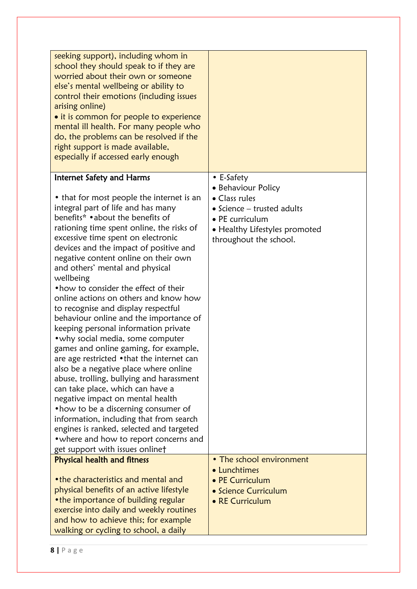| seeking support), including whom in<br>school they should speak to if they are<br>worried about their own or someone<br>else's mental wellbeing or ability to<br>control their emotions (including issues<br>arising online)<br>• it is common for people to experience<br>mental ill health. For many people who                                                                                                                                                                                                                                                                                                                                                                                                                                                                                                                                                                                                                                                                                                                                                                            |                                                                                                                                                                               |
|----------------------------------------------------------------------------------------------------------------------------------------------------------------------------------------------------------------------------------------------------------------------------------------------------------------------------------------------------------------------------------------------------------------------------------------------------------------------------------------------------------------------------------------------------------------------------------------------------------------------------------------------------------------------------------------------------------------------------------------------------------------------------------------------------------------------------------------------------------------------------------------------------------------------------------------------------------------------------------------------------------------------------------------------------------------------------------------------|-------------------------------------------------------------------------------------------------------------------------------------------------------------------------------|
| do, the problems can be resolved if the<br>right support is made available,<br>especially if accessed early enough                                                                                                                                                                                                                                                                                                                                                                                                                                                                                                                                                                                                                                                                                                                                                                                                                                                                                                                                                                           |                                                                                                                                                                               |
| <b>Internet Safety and Harms</b><br>• that for most people the internet is an<br>integral part of life and has many<br>benefits* • about the benefits of<br>rationing time spent online, the risks of<br>excessive time spent on electronic<br>devices and the impact of positive and<br>negative content online on their own<br>and others' mental and physical<br>wellbeing<br>• how to consider the effect of their<br>online actions on others and know how<br>to recognise and display respectful<br>behaviour online and the importance of<br>keeping personal information private<br>• why social media, some computer<br>games and online gaming, for example,<br>are age restricted •that the internet can<br>also be a negative place where online<br>abuse, trolling, bullying and harassment<br>can take place, which can have a<br>negative impact on mental health<br>• how to be a discerning consumer of<br>information, including that from search<br>engines is ranked, selected and targeted<br>• where and how to report concerns and<br>get support with issues onlinet | $\bullet$ E-Safety<br>• Behaviour Policy<br>• Class rules<br>$\bullet$ Science – trusted adults<br>• PE curriculum<br>• Healthy Lifestyles promoted<br>throughout the school. |
| <b>Physical health and fitness</b><br>• the characteristics and mental and<br>physical benefits of an active lifestyle<br>• the importance of building regular<br>exercise into daily and weekly routines<br>and how to achieve this; for example<br>walking or cycling to school, a daily                                                                                                                                                                                                                                                                                                                                                                                                                                                                                                                                                                                                                                                                                                                                                                                                   | • The school environment<br>• Lunchtimes<br>• PE Curriculum<br>• Science Curriculum<br>• RE Curriculum                                                                        |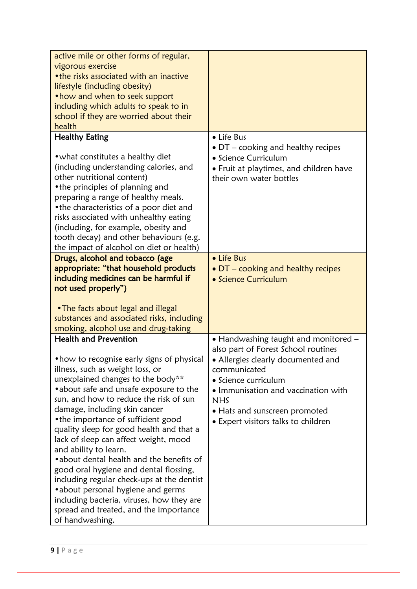| active mile or other forms of regular,     |                                            |
|--------------------------------------------|--------------------------------------------|
| vigorous exercise                          |                                            |
| • the risks associated with an inactive    |                                            |
| lifestyle (including obesity)              |                                            |
| • how and when to seek support             |                                            |
| including which adults to speak to in      |                                            |
|                                            |                                            |
| school if they are worried about their     |                                            |
| health                                     |                                            |
| <b>Healthy Eating</b>                      | • Life Bus                                 |
|                                            | $\bullet$ DT – cooking and healthy recipes |
| • what constitutes a healthy diet          |                                            |
|                                            | • Science Curriculum                       |
| (including understanding calories, and     | • Fruit at playtimes, and children have    |
| other nutritional content)                 | their own water bottles                    |
| • the principles of planning and           |                                            |
| preparing a range of healthy meals.        |                                            |
| • the characteristics of a poor diet and   |                                            |
|                                            |                                            |
| risks associated with unhealthy eating     |                                            |
| (including, for example, obesity and       |                                            |
| tooth decay) and other behaviours (e.g.    |                                            |
| the impact of alcohol on diet or health)   |                                            |
| Drugs, alcohol and tobacco (age            | • Life Bus                                 |
|                                            |                                            |
| appropriate: "that household products      | • DT – cooking and healthy recipes         |
| including medicines can be harmful if      | • Science Curriculum                       |
| not used properly")                        |                                            |
|                                            |                                            |
| • The facts about legal and illegal        |                                            |
|                                            |                                            |
| substances and associated risks, including |                                            |
| smoking, alcohol use and drug-taking       |                                            |
| <b>Health and Prevention</b>               | • Handwashing taught and monitored -       |
|                                            | also part of Forest School routines        |
| • how to recognise early signs of physical | • Allergies clearly documented and         |
|                                            |                                            |
| illness, such as weight loss, or           | communicated                               |
| unexplained changes to the body**          | • Science curriculum                       |
| • about safe and unsafe exposure to the    | · Immunisation and vaccination with        |
| sun, and how to reduce the risk of sun     | <b>NHS</b>                                 |
| damage, including skin cancer              | • Hats and sunscreen promoted              |
| • the importance of sufficient good        |                                            |
|                                            | • Expert visitors talks to children        |
| quality sleep for good health and that a   |                                            |
| lack of sleep can affect weight, mood      |                                            |
| and ability to learn.                      |                                            |
| • about dental health and the benefits of  |                                            |
| good oral hygiene and dental flossing,     |                                            |
|                                            |                                            |
| including regular check-ups at the dentist |                                            |
| • about personal hygiene and germs         |                                            |
| including bacteria, viruses, how they are  |                                            |
| spread and treated, and the importance     |                                            |
|                                            |                                            |
| of handwashing.                            |                                            |